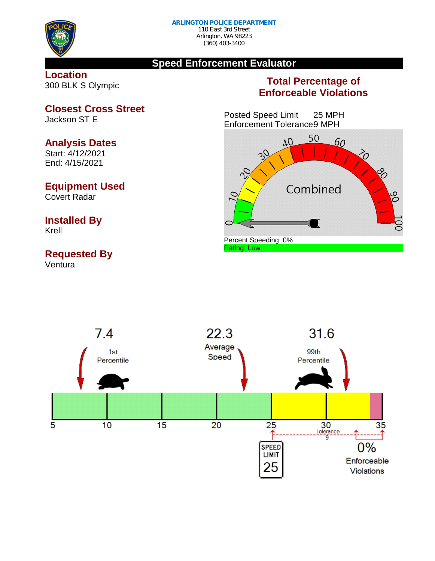

#### **Speed Enforcement Evaluator**

#### **Location** 300 BLK S Olympic

#### **Total Percentage of Enforceable Violations**

Posted Speed Limit 25 MPH Enforcement Tolerance9 MPH





# **Closest Cross Street**

Jackson ST E

#### **Analysis Dates**

Start: 4/12/2021 End: 4/15/2021

#### **Equipment Used**

Covert Radar

## **Installed By**

Krell

### **Requested By**

Ventura